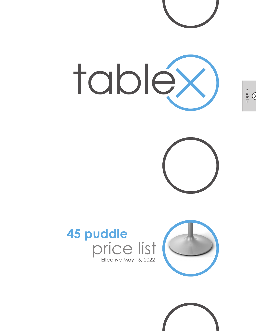







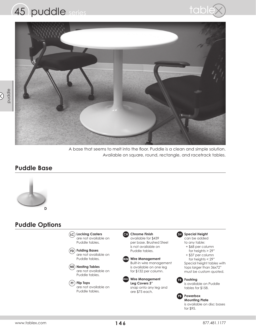





A base that seems to melt into the floor. Puddle is a clean and simple solution. Available on square, round, rectangle, and racetrack tables.

#### **Puddle Base**



## **Puddle Options**

**Locking Casters LC** are not available on Puddle tables.

**Folding Bases FD** are not available on Puddle tables.

**Nesting Tables NE** are not available on Puddle tables.

**Flip Tops FT** are not available on Puddle tables.

#### **CH** Chrome Finish available for \$439

per base. Brushed Steel is not available on Puddle tables.



**Wire Management Leg Covers 3"** snap onto any leg and are \$75 each. **WMLC**

#### **Special Height SH** can be added

to any table: + \$68 per column

 for heights > 29" + \$37 per column

 for heights < 29" Special height tables with tops larger than 36x72" must be custom quoted.



is available on Puddle tables for \$158.

**PB** Powerbox

**Mounting Plate** is available on disc bases for \$95.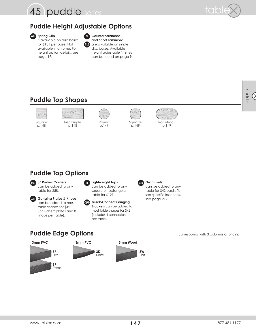



# **Puddle Height Adjustable Options**



**Spring Clip AH BL** is available on disc bases for \$131 per base. Not available in chrome. For height option details, see page 19.



#### **Counterbalanced**

**and Short Balanced** are available on single disc bases. Available height adjustable finishes can be found on page 9.

# **Puddle Top Shapes**











# **Puddle Top Options**



can be added to any table for \$58.



**Ganging Plates & Knobs GN** can be added to most table shapes for \$42 (includes 2 plates and 8 knobs per table).







can be added to any table for \$42 each. To see specific locations, see page 217.

# **Puddle Edge Options** (corresponds with 3 columns of pricing)



puddle  $\circledcirc$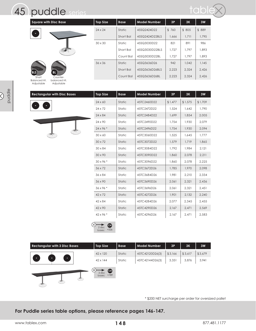

Adjustable

Adjustable



| <b>Square with Disc Base</b> |              | <b>Top Size</b> | <b>Base</b> | <b>Model Number</b> | 3P    | 3K    | 3W     |
|------------------------------|--------------|-----------------|-------------|---------------------|-------|-------|--------|
|                              |              | $24 \times 24$  | Static      | 45SQ2424D22         | \$760 | \$805 | \$ 889 |
| $\circ$                      |              |                 | Short Bal   | 45SQ2424D22BLS      | 1,666 | 1.711 | 1,795  |
|                              |              | $30 \times 30$  | Static      | 45SQ3030D22         | 821   | 891   | 986    |
|                              |              |                 | Short Bal   | 45SQ3030D22BLS      | 1.727 | 1.797 | 1,893  |
|                              |              |                 | Count Bal   | 45SQ3030D22BL       | 1.727 | 1,797 | 1,893  |
|                              |              | $36 \times 36$  | Static      | 45SQ3636D26         | 942   | 1.042 | 1.145  |
| <b>BLS</b>                   | BL.          |                 | Short Bal   | 45SQ3636D26BLS      | 2,223 | 2.324 | 2.426  |
| Short                        | Counter-     |                 | Count Bal   | 45SQ3636D26BL       | 2,223 | 2,324 | 2,426  |
| <b>Balanced Ht.</b>          | balanced Ht. |                 |             |                     |       |       |        |

| <b>Rectangular with Disc Bases</b> | <b>Top Size</b>  | <b>Base</b> | <b>Model Number</b> | 3P      | 3K      | 3W      |
|------------------------------------|------------------|-------------|---------------------|---------|---------|---------|
|                                    | $24 \times 60$   | Static      | 45TC2460D22         | \$1,477 | \$1,575 | \$1,709 |
|                                    | 24 x 72          | Static      | 45TC2472D22         |         |         |         |
|                                    |                  |             |                     | 1,524   | 1,642   | 1,790   |
|                                    | $24 \times 84$   | Static      | 45TC2484D22         | 1,699   | 1,854   | 2,005   |
|                                    | 24 x 90          | Static      | 45TC2490D22         | 1,754   | 1,930   | 2,079   |
|                                    | $24 \times 96$ * | Static      | 45TC2496D22         | 1,754   | 1,930   | 2,094   |
|                                    | $30 \times 60$   | Static      | 45TC3060D22         | 1,525   | 1,645   | 1,777   |
|                                    | $30 \times 72$   | Static      | 45TC3072D22         | 1,579   | 1,719   | 1,865   |
|                                    | $30 \times 84$   | Static      | 45TC3084D22         | 1,792   | 1,984   | 2,121   |
|                                    | $30 \times 90$   | Static      | 45TC3090D22         | 1,860   | 2,078   | 2,211   |
|                                    | $30 \times 96$ * | Static      | 45TC3096D22         | 1,860   | 2,078   | 2,225   |
|                                    | 36 x 72          | Static      | 45TC3672D26         | 1,785   | 1,970   | 2,098   |
|                                    | 36 x 84          | Static      | 45TC3684D26         | 1,981   | 2,210   | 2,334   |
|                                    | 36 x 90          | Static      | 45TC3690D26         | 2,061   | 2,321   | 2,436   |
|                                    | 36 x 96 *        | Static      | 45TC3696D26         | 2,061   | 2,321   | 2,451   |
|                                    | $42 \times 72$   | Static      | 45TC4272D26         | 1,901   | 2,132   | 2,240   |
|                                    | $42 \times 84$   | Static      | 45TC4284D26         | 2,077   | 2,345   | 2,455   |
|                                    | 42 x 90          | Static      | 45TC4290D26         | 2,167   | 2,471   | 2,569   |
|                                    | 42 x 96 *        | Static      | 45TC4296D26         | 2,167   | 2,471   | 2,583   |



| <b>Rectangular with 3 Disc Bases</b> | <b>Top Size</b>                      | <b>Base</b> | Model Number    | 3P      | 3K      | 3W      |
|--------------------------------------|--------------------------------------|-------------|-----------------|---------|---------|---------|
|                                      | $42 \times 120$                      | Static      | 45TC42120D26(3) | \$3,166 | \$3,617 | \$3,679 |
| $\circ$<br>$\circ$<br>$\circ$        | $42 \times 144$                      | Static      | 45TC42144D26(3) | 3,351   | 3,876   | 3,941   |
|                                      | $\bigoplus$<br>3 disc<br>bases: +789 |             |                 |         |         |         |

\* \$200 NET surcharge per order for oversized pallet

**For Puddle series table options, please reference pages 146-147.**